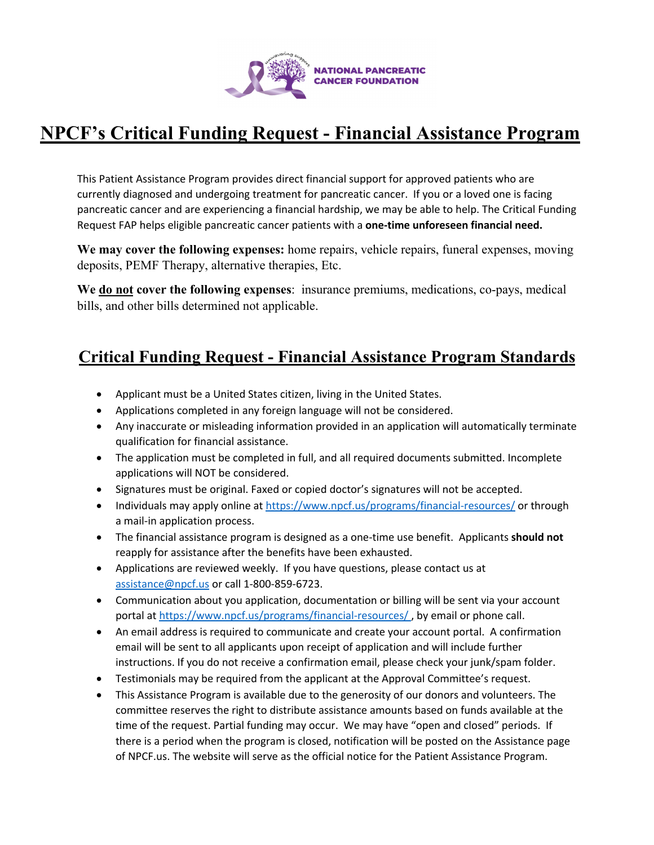

# **NPCF's Critical Funding Request - Financial Assistance Program**

This Patient Assistance Program provides direct financial support for approved patients who are currently diagnosed and undergoing treatment for pancreatic cancer. If you or a loved one is facing pancreatic cancer and are experiencing a financial hardship, we may be able to help. The Critical Funding Request FAP helps eligible pancreatic cancer patients with a **one-time unforeseen financial need.**

**We may cover the following expenses:** home repairs, vehicle repairs, funeral expenses, moving deposits, PEMF Therapy, alternative therapies, Etc.

**We do not cover the following expenses**: insurance premiums, medications, co-pays, medical bills, and other bills determined not applicable.

### **Critical Funding Request - Financial Assistance Program Standards**

- Applicant must be a United States citizen, living in the United States.
- Applications completed in any foreign language will not be considered.
- Any inaccurate or misleading information provided in an application will automatically terminate qualification for financial assistance.
- The application must be completed in full, and all required documents submitted. Incomplete applications will NOT be considered.
- Signatures must be original. Faxed or copied doctor's signatures will not be accepted.
- Individuals may apply online at https://www.npcf.us/programs/financial-resources/ or through a mail-in application process.
- The financial assistance program is designed as a one-time use benefit. Applicants **should not** reapply for assistance after the benefits have been exhausted.
- Applications are reviewed weekly. If you have questions, please contact us at assistance@npcf.us or call 1-800-859-6723.
- Communication about you application, documentation or billing will be sent via your account portal at https://www.npcf.us/programs/financial-resources/ , by email or phone call.
- An email address is required to communicate and create your account portal. A confirmation email will be sent to all applicants upon receipt of application and will include further instructions. If you do not receive a confirmation email, please check your junk/spam folder.
- Testimonials may be required from the applicant at the Approval Committee's request.
- This Assistance Program is available due to the generosity of our donors and volunteers. The committee reserves the right to distribute assistance amounts based on funds available at the time of the request. Partial funding may occur. We may have "open and closed" periods. If there is a period when the program is closed, notification will be posted on the Assistance page of NPCF.us. The website will serve as the official notice for the Patient Assistance Program.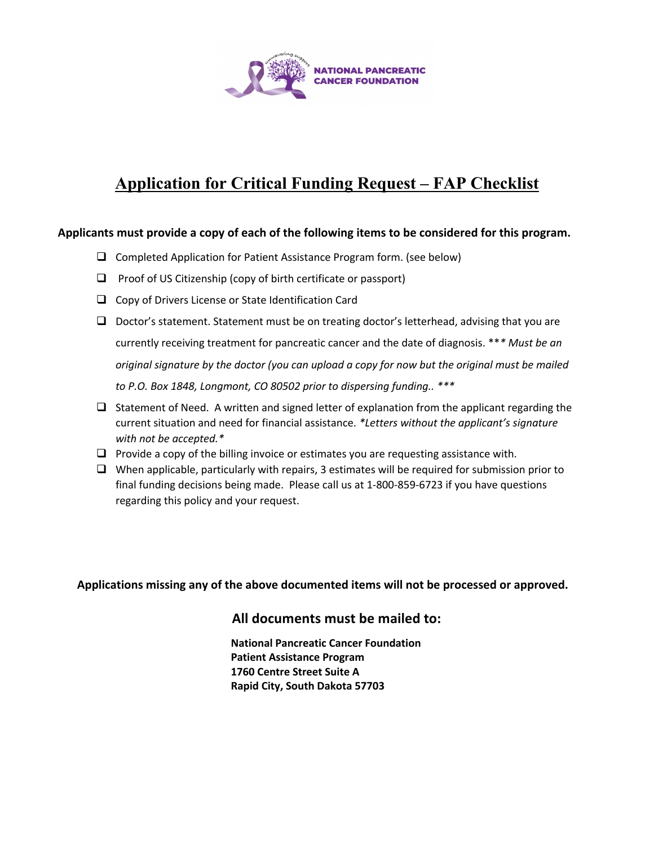

### **Application for Critical Funding Request – FAP Checklist**

#### **Applicants must provide a copy of each of the following items to be considered for this program.**

- $\Box$  Completed Application for Patient Assistance Program form. (see below)
- $\Box$  Proof of US Citizenship (copy of birth certificate or passport)
- $\Box$  Copy of Drivers License or State Identification Card
- $\Box$  Doctor's statement. Statement must be on treating doctor's letterhead, advising that you are currently receiving treatment for pancreatic cancer and the date of diagnosis. \*\**\* Must be an original signature by the doctor (you can upload a copy for now but the original must be mailed to P.O. Box 1848, Longmont, CO 80502 prior to dispersing funding.. \*\*\**
- $\Box$  Statement of Need. A written and signed letter of explanation from the applicant regarding the current situation and need for financial assistance. *\*Letters without the applicant's signature with not be accepted.\**
- $\Box$  Provide a copy of the billing invoice or estimates you are requesting assistance with.
- $\Box$  When applicable, particularly with repairs, 3 estimates will be required for submission prior to final funding decisions being made. Please call us at 1-800-859-6723 if you have questions regarding this policy and your request.

**Applications missing any of the above documented items will not be processed or approved.**

#### **All documents must be mailed to:**

**National Pancreatic Cancer Foundation Patient Assistance Program 1760 Centre Street Suite A Rapid City, South Dakota 57703**